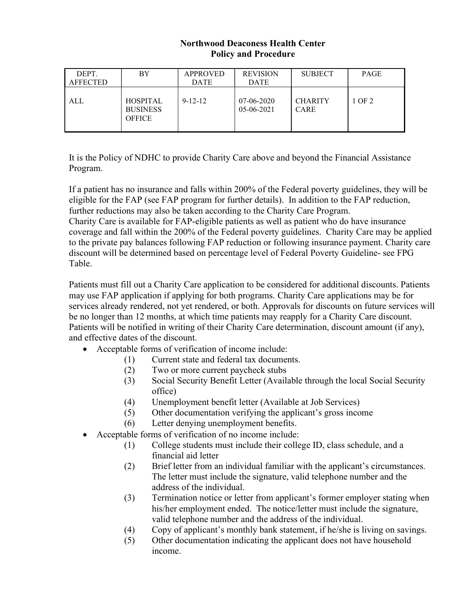## Northwood Deaconess Health Center Policy and Procedure

| DEPT.<br><b>AFFECTED</b> | BY                                                  | <b>APPROVED</b><br><b>DATE</b> | <b>REVISION</b><br><b>DATE</b> | <b>SUBJECT</b>                | <b>PAGE</b> |
|--------------------------|-----------------------------------------------------|--------------------------------|--------------------------------|-------------------------------|-------------|
| ALL                      | <b>HOSPITAL</b><br><b>BUSINESS</b><br><b>OFFICE</b> | $9 - 12 - 12$                  | 07-06-2020<br>$05-06-2021$     | <b>CHARITY</b><br><b>CARE</b> | 1 OF 2      |

It is the Policy of NDHC to provide Charity Care above and beyond the Financial Assistance Program.

If a patient has no insurance and falls within 200% of the Federal poverty guidelines, they will be eligible for the FAP (see FAP program for further details). In addition to the FAP reduction, further reductions may also be taken according to the Charity Care Program.

Charity Care is available for FAP-eligible patients as well as patient who do have insurance coverage and fall within the 200% of the Federal poverty guidelines. Charity Care may be applied to the private pay balances following FAP reduction or following insurance payment. Charity care discount will be determined based on percentage level of Federal Poverty Guideline- see FPG Table.

Patients must fill out a Charity Care application to be considered for additional discounts. Patients may use FAP application if applying for both programs. Charity Care applications may be for services already rendered, not yet rendered, or both. Approvals for discounts on future services will be no longer than 12 months, at which time patients may reapply for a Charity Care discount. Patients will be notified in writing of their Charity Care determination, discount amount (if any), and effective dates of the discount.

- Acceptable forms of verification of income include:
	- (1) Current state and federal tax documents.
	- (2) Two or more current paycheck stubs
	- (3) Social Security Benefit Letter (Available through the local Social Security office)
	- (4) Unemployment benefit letter (Available at Job Services)
	- (5) Other documentation verifying the applicant's gross income
	- (6) Letter denying unemployment benefits.
- Acceptable forms of verification of no income include:
	- (1) College students must include their college ID, class schedule, and a financial aid letter
	- (2) Brief letter from an individual familiar with the applicant's circumstances. The letter must include the signature, valid telephone number and the address of the individual.
	- (3) Termination notice or letter from applicant's former employer stating when his/her employment ended. The notice/letter must include the signature, valid telephone number and the address of the individual.
	- (4) Copy of applicant's monthly bank statement, if he/she is living on savings.
	- (5) Other documentation indicating the applicant does not have household income.